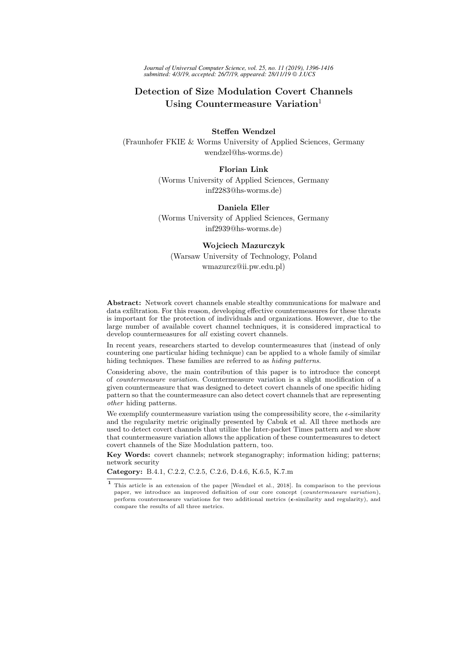*Journal of Universal Computer Science, vol. 25, no. 11 (2019), 1396-1416 submitted: 4/3/19, accepted: 26/7/19, appeared: 28/11/19 J.UCS*

# Detection of Size Modulation Covert Channels Using Countermeasure Variation $<sup>1</sup>$ </sup>

Steffen Wendzel (Fraunhofer FKIE & Worms University of Applied Sciences, Germany wendzel@hs-worms.de)

> Florian Link (Worms University of Applied Sciences, Germany inf2283@hs-worms.de)

# Daniela Eller

(Worms University of Applied Sciences, Germany inf2939@hs-worms.de)

#### Wojciech Mazurczyk

(Warsaw University of Technology, Poland wmazurcz@ii.pw.edu.pl)

Abstract: Network covert channels enable stealthy communications for malware and data exfiltration. For this reason, developing effective countermeasures for these threats is important for the protection of individuals and organizations. However, due to the large number of available covert channel techniques, it is considered impractical to develop countermeasures for all existing covert channels.

In recent years, researchers started to develop countermeasures that (instead of only countering one particular hiding technique) can be applied to a whole family of similar hiding techniques. These families are referred to as *hiding patterns*.

Considering above, the main contribution of this paper is to introduce the concept of countermeasure variation. Countermeasure variation is a slight modification of a given countermeasure that was designed to detect covert channels of one specific hiding pattern so that the countermeasure can also detect covert channels that are representing other hiding patterns.

We exemplify countermeasure variation using the compressibility score, the  $\epsilon$ -similarity and the regularity metric originally presented by Cabuk et al. All three methods are used to detect covert channels that utilize the Inter-packet Times pattern and we show that countermeasure variation allows the application of these countermeasures to detect covert channels of the Size Modulation pattern, too.

Key Words: covert channels; network steganography; information hiding; patterns; network security

Category: B.4.1, C.2.2, C.2.5, C.2.6, D.4.6, K.6.5, K.7.m

<sup>1</sup> This article is an extension of the paper [Wendzel et al., 2018]. In comparison to the previous paper, we introduce an improved definition of our core concept (countermeasure variation), perform countermeasure variations for two additional metrics ( $\epsilon$ -similarity and regularity), and compare the results of all three metrics.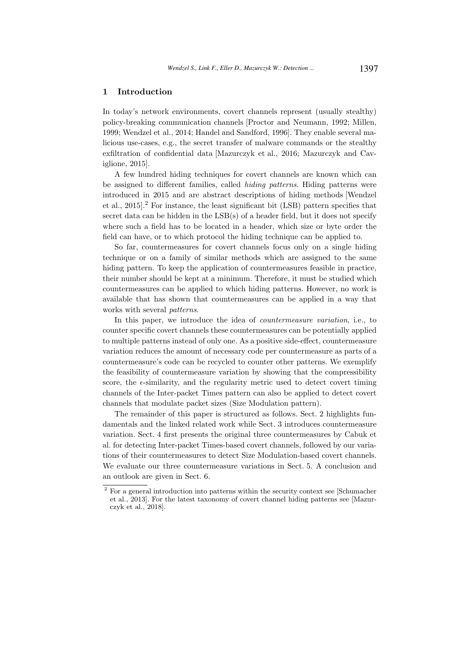## 1 Introduction

In today's network environments, covert channels represent (usually stealthy) policy-breaking communication channels [Proctor and Neumann, 1992; Millen, 1999; Wendzel et al., 2014; Handel and Sandford, 1996]. They enable several malicious use-cases, e.g., the secret transfer of malware commands or the stealthy exfiltration of confidential data [Mazurczyk et al., 2016; Mazurczyk and Caviglione, 2015].

A few hundred hiding techniques for covert channels are known which can be assigned to different families, called hiding patterns. Hiding patterns were introduced in 2015 and are abstract descriptions of hiding methods [Wendzel et al., 2015].<sup>2</sup> For instance, the least significant bit (LSB) pattern specifies that secret data can be hidden in the LSB(s) of a header field, but it does not specify where such a field has to be located in a header, which size or byte order the field can have, or to which protocol the hiding technique can be applied to.

So far, countermeasures for covert channels focus only on a single hiding technique or on a family of similar methods which are assigned to the same hiding pattern. To keep the application of countermeasures feasible in practice, their number should be kept at a minimum. Therefore, it must be studied which countermeasures can be applied to which hiding patterns. However, no work is available that has shown that countermeasures can be applied in a way that works with several patterns.

In this paper, we introduce the idea of countermeasure variation, i.e., to counter specific covert channels these countermeasures can be potentially applied to multiple patterns instead of only one. As a positive side-effect, countermeasure variation reduces the amount of necessary code per countermeasure as parts of a countermeasure's code can be recycled to counter other patterns. We exemplify the feasibility of countermeasure variation by showing that the compressibility score, the  $\epsilon$ -similarity, and the regularity metric used to detect covert timing channels of the Inter-packet Times pattern can also be applied to detect covert channels that modulate packet sizes (Size Modulation pattern).

The remainder of this paper is structured as follows. Sect. 2 highlights fundamentals and the linked related work while Sect. 3 introduces countermeasure variation. Sect. 4 first presents the original three countermeasures by Cabuk et al. for detecting Inter-packet Times-based covert channels, followed by our variations of their countermeasures to detect Size Modulation-based covert channels. We evaluate our three countermeasure variations in Sect. 5. A conclusion and an outlook are given in Sect. 6.

<sup>2</sup> For a general introduction into patterns within the security context see [Schumacher et al., 2013]. For the latest taxonomy of covert channel hiding patterns see [Mazurczyk et al., 2018].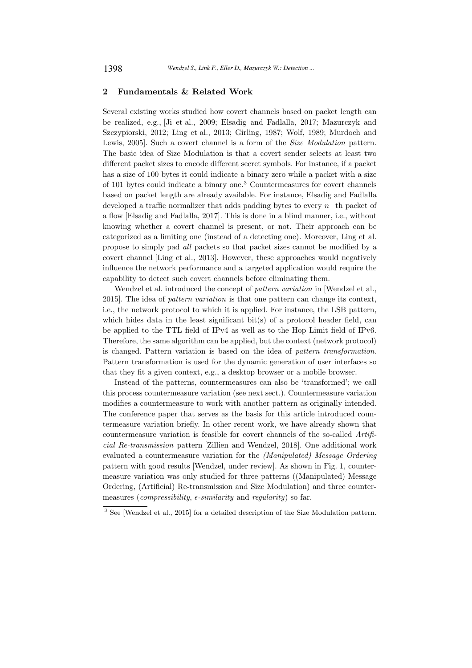## 2 Fundamentals & Related Work

Several existing works studied how covert channels based on packet length can be realized, e.g., [Ji et al., 2009; Elsadig and Fadlalla, 2017; Mazurczyk and Szczypiorski, 2012; Ling et al., 2013; Girling, 1987; Wolf, 1989; Murdoch and Lewis, 2005]. Such a covert channel is a form of the Size Modulation pattern. The basic idea of Size Modulation is that a covert sender selects at least two different packet sizes to encode different secret symbols. For instance, if a packet has a size of 100 bytes it could indicate a binary zero while a packet with a size of 101 bytes could indicate a binary one.<sup>3</sup> Countermeasures for covert channels based on packet length are already available. For instance, Elsadig and Fadlalla developed a traffic normalizer that adds padding bytes to every n−th packet of a flow [Elsadig and Fadlalla, 2017]. This is done in a blind manner, i.e., without knowing whether a covert channel is present, or not. Their approach can be categorized as a limiting one (instead of a detecting one). Moreover, Ling et al. propose to simply pad all packets so that packet sizes cannot be modified by a covert channel [Ling et al., 2013]. However, these approaches would negatively influence the network performance and a targeted application would require the capability to detect such covert channels before eliminating them.

Wendzel et al. introduced the concept of pattern variation in [Wendzel et al., 2015]. The idea of pattern variation is that one pattern can change its context, i.e., the network protocol to which it is applied. For instance, the LSB pattern, which hides data in the least significant  $bit(s)$  of a protocol header field, can be applied to the TTL field of IPv4 as well as to the Hop Limit field of IPv6. Therefore, the same algorithm can be applied, but the context (network protocol) is changed. Pattern variation is based on the idea of pattern transformation. Pattern transformation is used for the dynamic generation of user interfaces so that they fit a given context, e.g., a desktop browser or a mobile browser.

Instead of the patterns, countermeasures can also be 'transformed'; we call this process countermeasure variation (see next sect.). Countermeasure variation modifies a countermeasure to work with another pattern as originally intended. The conference paper that serves as the basis for this article introduced countermeasure variation briefly. In other recent work, we have already shown that countermeasure variation is feasible for covert channels of the so-called Artificial Re-transmission pattern [Zillien and Wendzel, 2018]. One additional work evaluated a countermeasure variation for the (Manipulated) Message Ordering pattern with good results [Wendzel, under review]. As shown in Fig. 1, countermeasure variation was only studied for three patterns ((Manipulated) Message Ordering, (Artificial) Re-transmission and Size Modulation) and three countermeasures (compressibility,  $\epsilon$ -similarity and regularity) so far.

<sup>3</sup> See [Wendzel et al., 2015] for a detailed description of the Size Modulation pattern.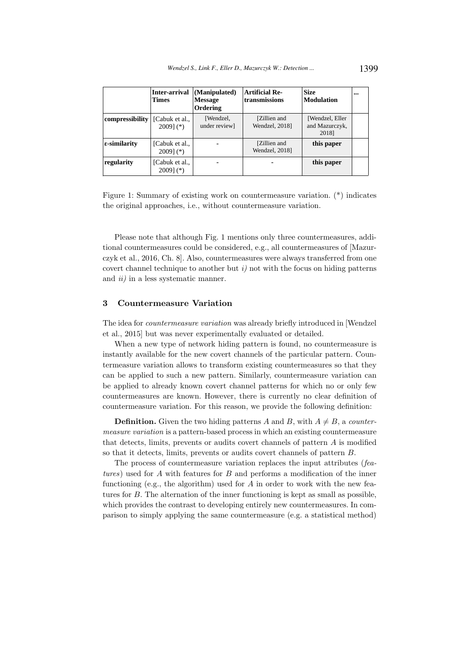|                        | Inter-arrival<br><b>Times</b> | (Manipulated)<br><b>Message</b><br>Ordering | <b>Artificial Re-</b><br>transmissions | <b>Size</b><br>Modulation                  | $\cdots$ |
|------------------------|-------------------------------|---------------------------------------------|----------------------------------------|--------------------------------------------|----------|
| compressibility        | [Cabuk et al.,<br>$2009$ (*)  | [Wendzel,<br>under review]                  | [Zillien and<br>Wendzel, 2018]         | [Wendzel, Eller<br>and Mazurczyk,<br>2018] |          |
| $\epsilon$ -similarity | [Cabuk et al.,<br>$2009$ (*)  |                                             | [Zillien and<br>Wendzel, 2018]         | this paper                                 |          |
| regularity             | [Cabuk et al.,<br>$2009$ (*)  |                                             |                                        | this paper                                 |          |

Figure 1: Summary of existing work on countermeasure variation. (\*) indicates the original approaches, i.e., without countermeasure variation.

Please note that although Fig. 1 mentions only three countermeasures, additional countermeasures could be considered, e.g., all countermeasures of [Mazurczyk et al., 2016, Ch. 8]. Also, countermeasures were always transferred from one covert channel technique to another but  $i$ ) not with the focus on hiding patterns and *ii*) in a less systematic manner.

## 3 Countermeasure Variation

The idea for countermeasure variation was already briefly introduced in [Wendzel et al., 2015] but was never experimentally evaluated or detailed.

When a new type of network hiding pattern is found, no countermeasure is instantly available for the new covert channels of the particular pattern. Countermeasure variation allows to transform existing countermeasures so that they can be applied to such a new pattern. Similarly, countermeasure variation can be applied to already known covert channel patterns for which no or only few countermeasures are known. However, there is currently no clear definition of countermeasure variation. For this reason, we provide the following definition:

**Definition.** Given the two hiding patterns A and B, with  $A \neq B$ , a countermeasure variation is a pattern-based process in which an existing countermeasure that detects, limits, prevents or audits covert channels of pattern A is modified so that it detects, limits, prevents or audits covert channels of pattern B.

The process of countermeasure variation replaces the input attributes (features) used for A with features for B and performs a modification of the inner functioning (e.g., the algorithm) used for  $A$  in order to work with the new features for B. The alternation of the inner functioning is kept as small as possible, which provides the contrast to developing entirely new countermeasures. In comparison to simply applying the same countermeasure (e.g. a statistical method)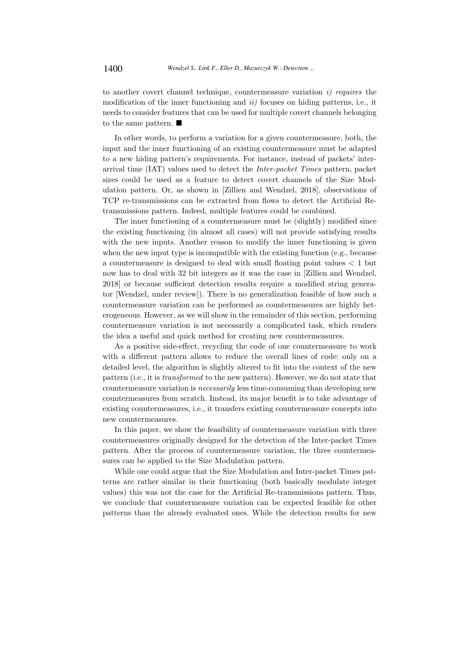to another covert channel technique, countermeasure variation  $i$ ) requires the modification of the inner functioning and  $ii)$  focuses on hiding patterns, i.e., it needs to consider features that can be used for multiple covert channels belonging to the same pattern.  $\blacksquare$ 

In other words, to perform a variation for a given countermeasure, both, the input and the inner functioning of an existing countermeasure must be adapted to a new hiding pattern's requirements. For instance, instead of packets' interarrival time (IAT) values used to detect the Inter-packet Times pattern, packet sizes could be used as a feature to detect covert channels of the Size Modulation pattern. Or, as shown in [Zillien and Wendzel, 2018], observations of TCP re-transmissions can be extracted from flows to detect the Artificial Retransmissions pattern. Indeed, multiple features could be combined.

The inner functioning of a countermeasure must be (slightly) modified since the existing functioning (in almost all cases) will not provide satisfying results with the new inputs. Another reason to modify the inner functioning is given when the new input type is incompatible with the existing function (e.g., because a countermeasure is designed to deal with small floating point values < 1 but now has to deal with 32 bit integers as it was the case in [Zillien and Wendzel, 2018] or because sufficient detection results require a modified string generator [Wendzel, under review]). There is no generalization feasible of how such a countermeasure variation can be performed as countermeasures are highly heterogeneous. However, as we will show in the remainder of this section, performing countermeasure variation is not necessarily a complicated task, which renders the idea a useful and quick method for creating new countermeasures.

As a positive side-effect, recycling the code of one countermeasure to work with a different pattern allows to reduce the overall lines of code: only on a detailed level, the algorithm is slightly altered to fit into the context of the new pattern (i.e., it is transformed to the new pattern). However, we do not state that countermeasure variation is necessarily less time-consuming than developing new countermeasures from scratch. Instead, its major benefit is to take advantage of existing countermeasures, i.e., it transfers existing countermeasure concepts into new countermeasures.

In this paper, we show the feasibility of countermeasure variation with three countermeasures originally designed for the detection of the Inter-packet Times pattern. After the process of countermeasure variation, the three countermeasures can be applied to the Size Modulation pattern.

While one could argue that the Size Modulation and Inter-packet Times patterns are rather similar in their functioning (both basically modulate integer values) this was not the case for the Artificial Re-transmissions pattern. Thus, we conclude that countermeasure variation can be expected feasible for other patterns than the already evaluated ones. While the detection results for new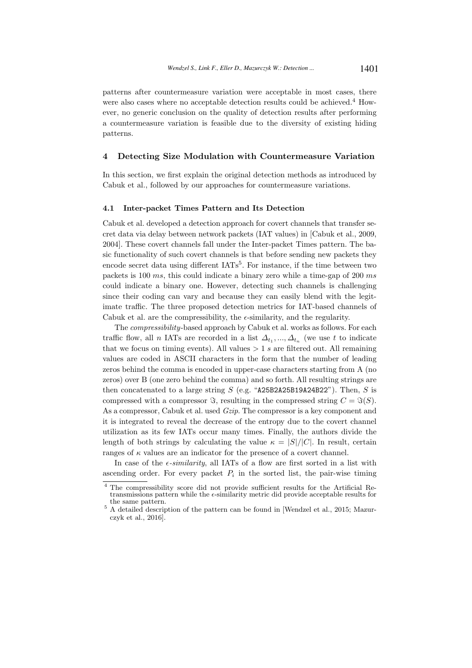patterns after countermeasure variation were acceptable in most cases, there were also cases where no acceptable detection results could be achieved.<sup>4</sup> However, no generic conclusion on the quality of detection results after performing a countermeasure variation is feasible due to the diversity of existing hiding patterns.

#### 4 Detecting Size Modulation with Countermeasure Variation

In this section, we first explain the original detection methods as introduced by Cabuk et al., followed by our approaches for countermeasure variations.

#### 4.1 Inter-packet Times Pattern and Its Detection

Cabuk et al. developed a detection approach for covert channels that transfer secret data via delay between network packets (IAT values) in [Cabuk et al., 2009, 2004]. These covert channels fall under the Inter-packet Times pattern. The basic functionality of such covert channels is that before sending new packets they encode secret data using different IATs<sup>5</sup>. For instance, if the time between two packets is 100 ms, this could indicate a binary zero while a time-gap of 200 ms could indicate a binary one. However, detecting such channels is challenging since their coding can vary and because they can easily blend with the legitimate traffic. The three proposed detection metrics for IAT-based channels of Cabuk et al. are the compressibility, the  $\epsilon$ -similarity, and the regularity.

The compressibility-based approach by Cabuk et al. works as follows. For each traffic flow, all *n* IATs are recorded in a list  $\Delta_{t_1},...,\Delta_{t_n}$  (we use t to indicate that we focus on timing events). All values  $> 1 s$  are filtered out. All remaining values are coded in ASCII characters in the form that the number of leading zeros behind the comma is encoded in upper-case characters starting from A (no zeros) over B (one zero behind the comma) and so forth. All resulting strings are then concatenated to a large string  $S$  (e.g. "A25B2A25B19A24B22"). Then,  $S$  is compressed with a compressor  $\Im$ , resulting in the compressed string  $C = \Im(S)$ . As a compressor, Cabuk et al. used *Gzip*. The compressor is a key component and it is integrated to reveal the decrease of the entropy due to the covert channel utilization as its few IATs occur many times. Finally, the authors divide the length of both strings by calculating the value  $\kappa = |S|/|C|$ . In result, certain ranges of  $\kappa$  values are an indicator for the presence of a covert channel.

In case of the  $\epsilon$ -similarity, all IATs of a flow are first sorted in a list with ascending order. For every packet  $P_i$  in the sorted list, the pair-wise timing

<sup>4</sup> The compressibility score did not provide sufficient results for the Artificial Retransmissions pattern while the  $\epsilon$ -similarity metric did provide acceptable results for the same pattern.

 $5$  A detailed description of the pattern can be found in [Wendzel et al., 2015; Mazurczyk et al., 2016].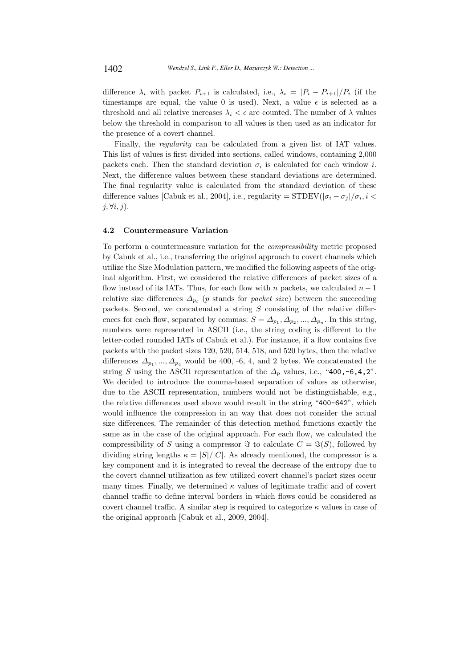difference  $\lambda_i$  with packet  $P_{i+1}$  is calculated, i.e.,  $\lambda_i = |P_i - P_{i+1}|/P_i$  (if the timestamps are equal, the value 0 is used). Next, a value  $\epsilon$  is selected as a threshold and all relative increases  $\lambda_i < \epsilon$  are counted. The number of  $\lambda$  values below the threshold in comparison to all values is then used as an indicator for the presence of a covert channel.

Finally, the regularity can be calculated from a given list of IAT values. This list of values is first divided into sections, called windows, containing 2,000 packets each. Then the standard deviation  $\sigma_i$  is calculated for each window *i*. Next, the difference values between these standard deviations are determined. The final regularity value is calculated from the standard deviation of these difference values [Cabuk et al., 2004], i.e., regularity =  $\text{STDEV}(|\sigma_i - \sigma_j|/\sigma_i, i <$  $j, \forall i, j$ ).

#### 4.2 Countermeasure Variation

To perform a countermeasure variation for the compressibility metric proposed by Cabuk et al., i.e., transferring the original approach to covert channels which utilize the Size Modulation pattern, we modified the following aspects of the original algorithm. First, we considered the relative differences of packet sizes of a flow instead of its IATs. Thus, for each flow with n packets, we calculated  $n-1$ relative size differences  $\Delta_{p_i}$  (p stands for packet size) between the succeeding packets. Second, we concatenated a string  $S$  consisting of the relative differences for each flow, separated by commas:  $S = \Delta_{p_1}, \Delta_{p_2}, ..., \Delta_{p_n}$ . In this string, numbers were represented in ASCII (i.e., the string coding is different to the letter-coded rounded IATs of Cabuk et al.). For instance, if a flow contains five packets with the packet sizes 120, 520, 514, 518, and 520 bytes, then the relative differences  $\Delta_{p_1},...,\Delta_{p_4}$  would be 400, -6, 4, and 2 bytes. We concatenated the string S using the ASCII representation of the  $\Delta_p$  values, i.e., "400,-6,4,2". We decided to introduce the comma-based separation of values as otherwise, due to the ASCII representation, numbers would not be distinguishable, e.g., the relative differences used above would result in the string "400-642", which would influence the compression in an way that does not consider the actual size differences. The remainder of this detection method functions exactly the same as in the case of the original approach. For each flow, we calculated the compressibility of S using a compressor  $\Im$  to calculate  $C = \Im(S)$ , followed by dividing string lengths  $\kappa = |S|/|C|$ . As already mentioned, the compressor is a key component and it is integrated to reveal the decrease of the entropy due to the covert channel utilization as few utilized covert channel's packet sizes occur many times. Finally, we determined  $\kappa$  values of legitimate traffic and of covert channel traffic to define interval borders in which flows could be considered as covert channel traffic. A similar step is required to categorize  $\kappa$  values in case of the original approach [Cabuk et al., 2009, 2004].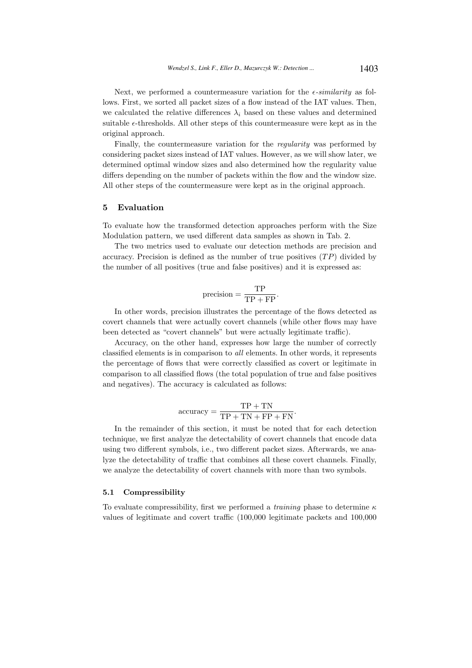Next, we performed a countermeasure variation for the  $\epsilon$ -similarity as follows. First, we sorted all packet sizes of a flow instead of the IAT values. Then, we calculated the relative differences  $\lambda_i$  based on these values and determined suitable  $\epsilon$ -thresholds. All other steps of this countermeasure were kept as in the original approach.

Finally, the countermeasure variation for the regularity was performed by considering packet sizes instead of IAT values. However, as we will show later, we determined optimal window sizes and also determined how the regularity value differs depending on the number of packets within the flow and the window size. All other steps of the countermeasure were kept as in the original approach.

#### 5 Evaluation

To evaluate how the transformed detection approaches perform with the Size Modulation pattern, we used different data samples as shown in Tab. 2.

The two metrics used to evaluate our detection methods are precision and accuracy. Precision is defined as the number of true positives  $(TP)$  divided by the number of all positives (true and false positives) and it is expressed as:

$$
precision = \frac{TP}{TP + FP}.
$$

In other words, precision illustrates the percentage of the flows detected as covert channels that were actually covert channels (while other flows may have been detected as "covert channels" but were actually legitimate traffic).

Accuracy, on the other hand, expresses how large the number of correctly classified elements is in comparison to all elements. In other words, it represents the percentage of flows that were correctly classified as covert or legitimate in comparison to all classified flows (the total population of true and false positives and negatives). The accuracy is calculated as follows:

accuracy = 
$$
\frac{TP + TN}{TP + TN + FP + FN}.
$$

In the remainder of this section, it must be noted that for each detection technique, we first analyze the detectability of covert channels that encode data using two different symbols, i.e., two different packet sizes. Afterwards, we analyze the detectability of traffic that combines all these covert channels. Finally, we analyze the detectability of covert channels with more than two symbols.

#### 5.1 Compressibility

To evaluate compressibility, first we performed a *training* phase to determine  $\kappa$ values of legitimate and covert traffic (100,000 legitimate packets and 100,000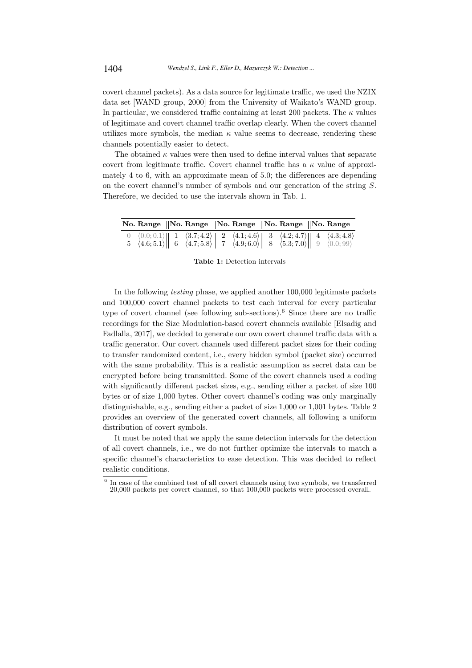covert channel packets). As a data source for legitimate traffic, we used the NZIX data set [WAND group, 2000] from the University of Waikato's WAND group. In particular, we considered traffic containing at least 200 packets. The  $\kappa$  values of legitimate and covert channel traffic overlap clearly. When the covert channel utilizes more symbols, the median  $\kappa$  value seems to decrease, rendering these channels potentially easier to detect.

The obtained  $\kappa$  values were then used to define interval values that separate covert from legitimate traffic. Covert channel traffic has a  $\kappa$  value of approximately 4 to 6, with an approximate mean of 5.0; the differences are depending on the covert channel's number of symbols and our generation of the string S. Therefore, we decided to use the intervals shown in Tab. 1.

|  |  | No. Range   No. Range   No. Range   No. Range   No. Range                                                                                                                                                                                                                                                                                                                                                     |  |  |
|--|--|---------------------------------------------------------------------------------------------------------------------------------------------------------------------------------------------------------------------------------------------------------------------------------------------------------------------------------------------------------------------------------------------------------------|--|--|
|  |  | $\begin{array}{cc} 0 & \langle 0.0; 0.1 \rangle \ 6 & \langle 4.6; 5.1 \rangle \end{array}$ $\begin{array}{cc} 1 & \langle 3.7; 4.2 \rangle \ 6 & \langle 4.7; 5.8 \rangle \end{array}$ $\begin{array}{cc} 2 & \langle 4.1; 4.6 \rangle \ 7 & \langle 4.9; 6.0 \rangle \ 8 & \langle 5.3; 7.0 \rangle \end{array}$ $\begin{array}{cc} 4 & \langle 4.3; 4.8 \rangle \ 9 & \langle 0.0; 99 \rangle \end{array}$ |  |  |

Table 1: Detection intervals

In the following testing phase, we applied another 100,000 legitimate packets and 100,000 covert channel packets to test each interval for every particular type of covert channel (see following sub-sections).<sup>6</sup> Since there are no traffic recordings for the Size Modulation-based covert channels available [Elsadig and Fadlalla, 2017], we decided to generate our own covert channel traffic data with a traffic generator. Our covert channels used different packet sizes for their coding to transfer randomized content, i.e., every hidden symbol (packet size) occurred with the same probability. This is a realistic assumption as secret data can be encrypted before being transmitted. Some of the covert channels used a coding with significantly different packet sizes, e.g., sending either a packet of size 100 bytes or of size 1,000 bytes. Other covert channel's coding was only marginally distinguishable, e.g., sending either a packet of size 1,000 or 1,001 bytes. Table 2 provides an overview of the generated covert channels, all following a uniform distribution of covert symbols.

It must be noted that we apply the same detection intervals for the detection of all covert channels, i.e., we do not further optimize the intervals to match a specific channel's characteristics to ease detection. This was decided to reflect realistic conditions.

 $6$  In case of the combined test of all covert channels using two symbols, we transferred 20,000 packets per covert channel, so that 100,000 packets were processed overall.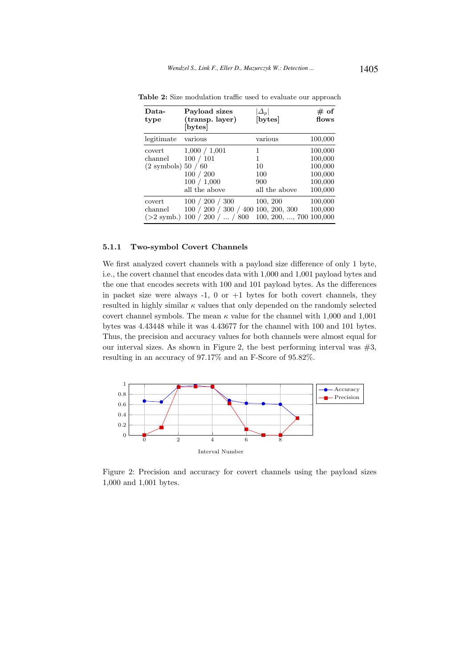| Data-<br>type                                         | Payload sizes<br>(transp. layer)<br>[bytes]                                  | $\left  \varDelta_p \right $<br>[bytes]     | # of<br>flows                                                  |
|-------------------------------------------------------|------------------------------------------------------------------------------|---------------------------------------------|----------------------------------------------------------------|
| legitimate                                            | various                                                                      | various                                     | 100,000                                                        |
| covert<br>channel<br>$(2 \text{ symbols})\,50\,/\,60$ | 1,000 / 1,001<br>100 / 101<br>100 / 200<br>100 / 1,000<br>all the above      | 1<br>1<br>10<br>100<br>900<br>all the above | 100,000<br>100,000<br>100,000<br>100,000<br>100,000<br>100,000 |
| covert<br>channel<br>$(>2$ symb.)                     | 100 / 200 / 300<br>100 / 200 / 300 / 400 100, 200, 300<br>100 / 200 /  / 800 | 100, 200<br>100, 200, , 700, 100,000        | 100,000<br>100,000                                             |

Table 2: Size modulation traffic used to evaluate our approach

#### 5.1.1 Two-symbol Covert Channels

We first analyzed covert channels with a payload size difference of only 1 byte, i.e., the covert channel that encodes data with 1,000 and 1,001 payload bytes and the one that encodes secrets with 100 and 101 payload bytes. As the differences in packet size were always  $-1$ , 0 or  $+1$  bytes for both covert channels, they resulted in highly similar  $\kappa$  values that only depended on the randomly selected covert channel symbols. The mean  $\kappa$  value for the channel with 1,000 and 1,001 bytes was 4.43448 while it was 4.43677 for the channel with 100 and 101 bytes. Thus, the precision and accuracy values for both channels were almost equal for our interval sizes. As shown in Figure 2, the best performing interval was  $#3$ , resulting in an accuracy of 97.17% and an F-Score of 95.82%.



Figure 2: Precision and accuracy for covert channels using the payload sizes 1,000 and 1,001 bytes.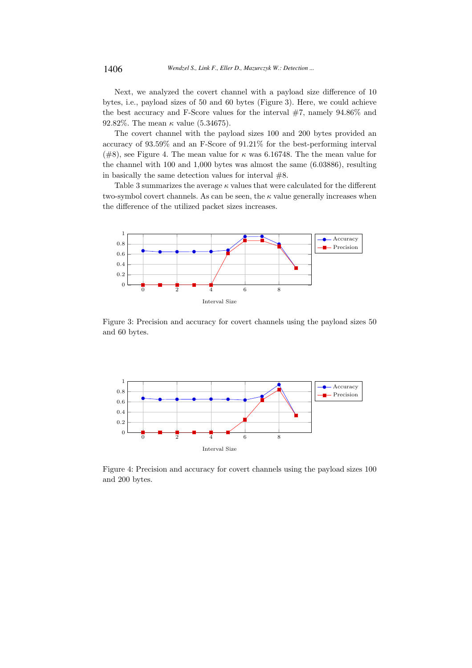Next, we analyzed the covert channel with a payload size difference of 10 bytes, i.e., payload sizes of 50 and 60 bytes (Figure 3). Here, we could achieve the best accuracy and F-Score values for the interval  $#7$ , namely  $94.86\%$  and 92.82%. The mean  $\kappa$  value (5.34675).

The covert channel with the payload sizes 100 and 200 bytes provided an accuracy of 93.59% and an F-Score of 91.21% for the best-performing interval (#8), see Figure 4. The mean value for  $\kappa$  was 6.16748. The the mean value for the channel with 100 and 1,000 bytes was almost the same (6.03886), resulting in basically the same detection values for interval  $#8$ .

Table 3 summarizes the average  $\kappa$  values that were calculated for the different two-symbol covert channels. As can be seen, the  $\kappa$  value generally increases when the difference of the utilized packet sizes increases.



Figure 3: Precision and accuracy for covert channels using the payload sizes 50 and 60 bytes.



Figure 4: Precision and accuracy for covert channels using the payload sizes 100 and 200 bytes.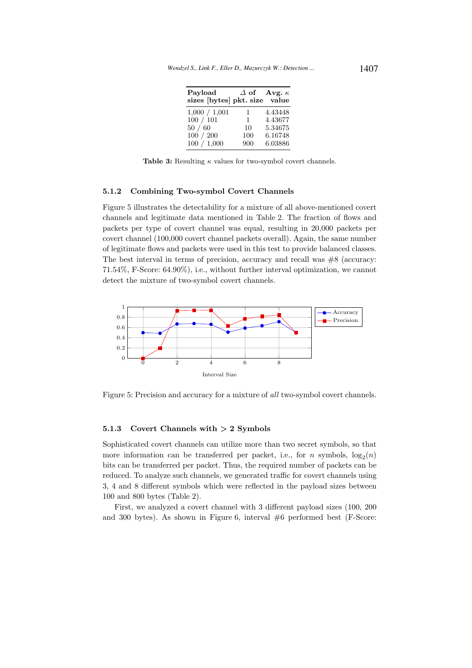| Payload<br>sizes [bytes] pkt. size value |              | $\Delta$ of Avg. $\kappa$ |
|------------------------------------------|--------------|---------------------------|
| 1,000 / 1,001                            | 1            | 4.43448                   |
| 100 / 101                                | $\mathbf{1}$ | 4.43677                   |
| 50/60                                    | 10           | 5.34675                   |
| 100 / 200                                | 100          | 6.16748                   |
| 100 / 1,000                              | 900          | 6.03886                   |

Table 3: Resulting  $\kappa$  values for two-symbol covert channels.

#### 5.1.2 Combining Two-symbol Covert Channels

Figure 5 illustrates the detectability for a mixture of all above-mentioned covert channels and legitimate data mentioned in Table 2. The fraction of flows and packets per type of covert channel was equal, resulting in 20,000 packets per covert channel (100,000 covert channel packets overall). Again, the same number of legitimate flows and packets were used in this test to provide balanced classes. The best interval in terms of precision, accuracy and recall was  $#8$  (accuracy: 71.54%, F-Score: 64.90%), i.e., without further interval optimization, we cannot detect the mixture of two-symbol covert channels.



Figure 5: Precision and accuracy for a mixture of all two-symbol covert channels.

## 5.1.3 Covert Channels with  $> 2$  Symbols

Sophisticated covert channels can utilize more than two secret symbols, so that more information can be transferred per packet, i.e., for *n* symbols,  $log_2(n)$ bits can be transferred per packet. Thus, the required number of packets can be reduced. To analyze such channels, we generated traffic for covert channels using 3, 4 and 8 different symbols which were reflected in the payload sizes between 100 and 800 bytes (Table 2).

First, we analyzed a covert channel with 3 different payload sizes (100, 200 and 300 bytes). As shown in Figure 6, interval #6 performed best (F-Score: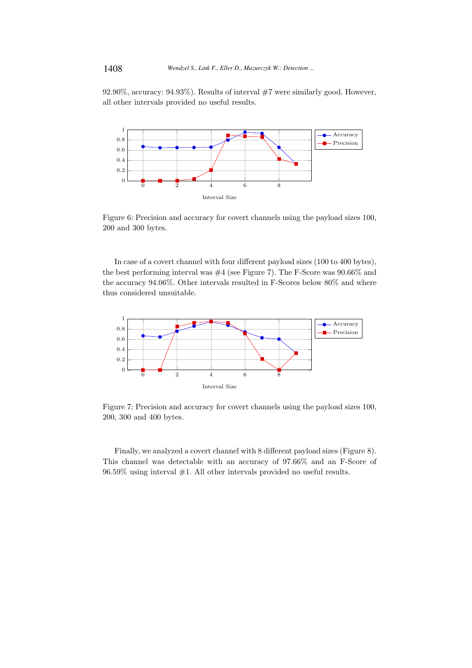92.90%, accuracy: 94.93%). Results of interval #7 were similarly good. However, all other intervals provided no useful results.



Figure 6: Precision and accuracy for covert channels using the payload sizes 100, 200 and 300 bytes.

In case of a covert channel with four different payload sizes (100 to 400 bytes), the best performing interval was #4 (see Figure 7). The F-Score was 90.66% and the accuracy 94.06%. Other intervals resulted in F-Scores below 80% and where thus considered unsuitable.



Figure 7: Precision and accuracy for covert channels using the payload sizes 100, 200, 300 and 400 bytes.

Finally, we analyzed a covert channel with 8 different payload sizes (Figure 8). This channel was detectable with an accuracy of 97.66% and an F-Score of  $96.59\%$  using interval #1. All other intervals provided no useful results.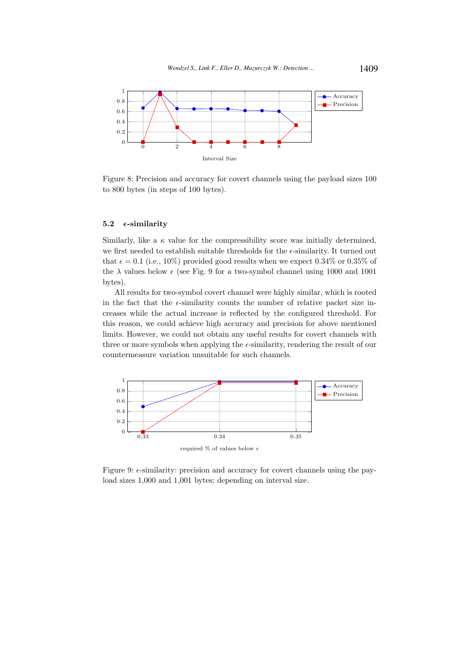

Figure 8: Precision and accuracy for covert channels using the payload sizes 100 to 800 bytes (in steps of 100 bytes).

# 5.2  $\epsilon$ -similarity

Similarly, like a  $\kappa$  value for the compressibility score was initially determined, we first needed to establish suitable thresholds for the  $\epsilon$ -similarity. It turned out that  $\epsilon = 0.1$  (i.e., 10%) provided good results when we expect 0.34% or 0.35% of the  $\lambda$  values below  $\epsilon$  (see Fig. 9 for a two-symbol channel using 1000 and 1001 bytes).

All results for two-symbol covert channel were highly similar, which is rooted in the fact that the  $\epsilon$ -similarity counts the number of relative packet size increases while the actual increase is reflected by the configured threshold. For this reason, we could achieve high accuracy and precision for above mentioned limits. However, we could not obtain any useful results for covert channels with three or more symbols when applying the  $\epsilon$ -similarity, rendering the result of our countermeasure variation unsuitable for such channels.



Figure 9:  $\epsilon$ -similarity: precision and accuracy for covert channels using the payload sizes 1,000 and 1,001 bytes; depending on interval size.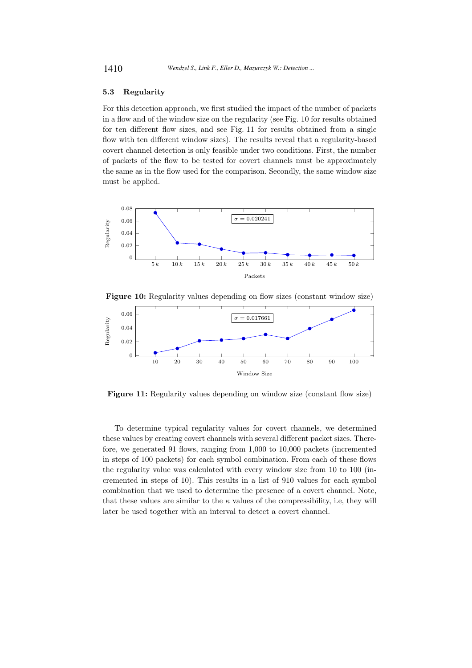## 5.3 Regularity

For this detection approach, we first studied the impact of the number of packets in a flow and of the window size on the regularity (see Fig. 10 for results obtained for ten different flow sizes, and see Fig. 11 for results obtained from a single flow with ten different window sizes). The results reveal that a regularity-based covert channel detection is only feasible under two conditions. First, the number of packets of the flow to be tested for covert channels must be approximately the same as in the flow used for the comparison. Secondly, the same window size must be applied.





Figure 11: Regularity values depending on window size (constant flow size)

To determine typical regularity values for covert channels, we determined these values by creating covert channels with several different packet sizes. Therefore, we generated 91 flows, ranging from 1,000 to 10,000 packets (incremented in steps of 100 packets) for each symbol combination. From each of these flows the regularity value was calculated with every window size from 10 to 100 (incremented in steps of 10). This results in a list of 910 values for each symbol combination that we used to determine the presence of a covert channel. Note, that these values are similar to the  $\kappa$  values of the compressibility, i.e, they will later be used together with an interval to detect a covert channel.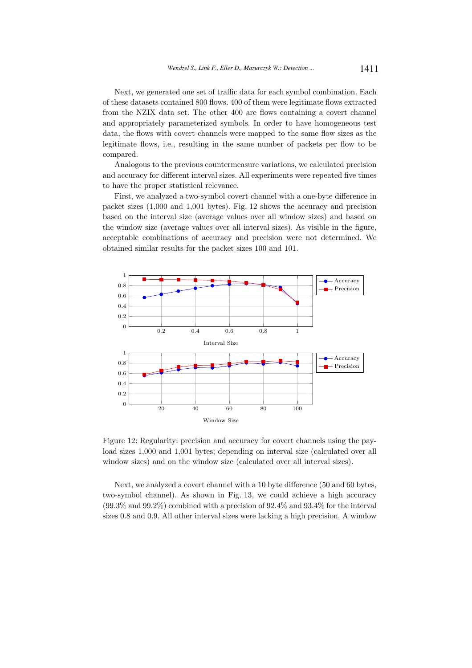Next, we generated one set of traffic data for each symbol combination. Each of these datasets contained 800 flows. 400 of them were legitimate flows extracted from the NZIX data set. The other 400 are flows containing a covert channel and appropriately parameterized symbols. In order to have homogeneous test data, the flows with covert channels were mapped to the same flow sizes as the legitimate flows, i.e., resulting in the same number of packets per flow to be compared.

Analogous to the previous countermeasure variations, we calculated precision and accuracy for different interval sizes. All experiments were repeated five times to have the proper statistical relevance.

First, we analyzed a two-symbol covert channel with a one-byte difference in packet sizes (1,000 and 1,001 bytes). Fig. 12 shows the accuracy and precision based on the interval size (average values over all window sizes) and based on the window size (average values over all interval sizes). As visible in the figure, acceptable combinations of accuracy and precision were not determined. We obtained similar results for the packet sizes 100 and 101.



Figure 12: Regularity: precision and accuracy for covert channels using the payload sizes 1,000 and 1,001 bytes; depending on interval size (calculated over all window sizes) and on the window size (calculated over all interval sizes).

Next, we analyzed a covert channel with a 10 byte difference (50 and 60 bytes, two-symbol channel). As shown in Fig. 13, we could achieve a high accuracy  $(99.3\% \text{ and } 99.2\%)$  combined with a precision of  $92.4\%$  and  $93.4\%$  for the interval sizes 0.8 and 0.9. All other interval sizes were lacking a high precision. A window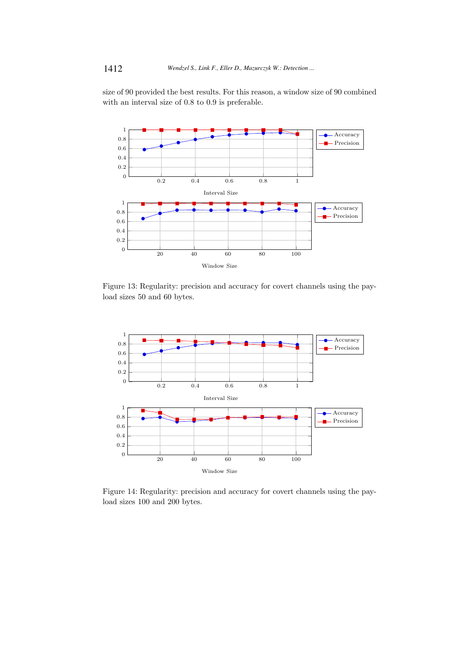size of 90 provided the best results. For this reason, a window size of 90 combined with an interval size of 0.8 to 0.9 is preferable.



Figure 13: Regularity: precision and accuracy for covert channels using the payload sizes 50 and 60 bytes.



Figure 14: Regularity: precision and accuracy for covert channels using the payload sizes 100 and 200 bytes.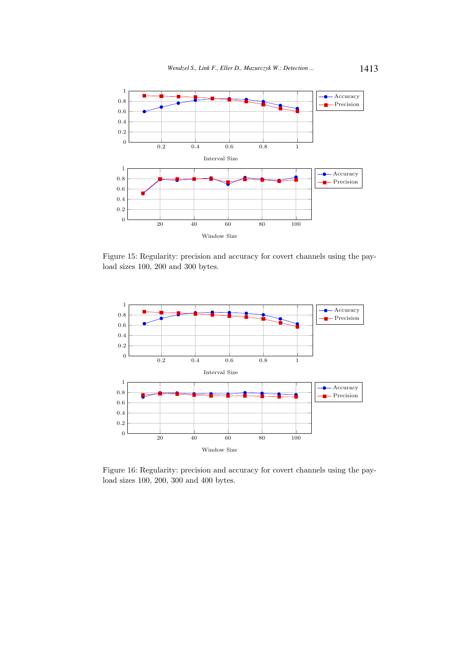

Figure 15: Regularity: precision and accuracy for covert channels using the payload sizes 100, 200 and 300 bytes.



Figure 16: Regularity: precision and accuracy for covert channels using the payload sizes 100, 200, 300 and 400 bytes.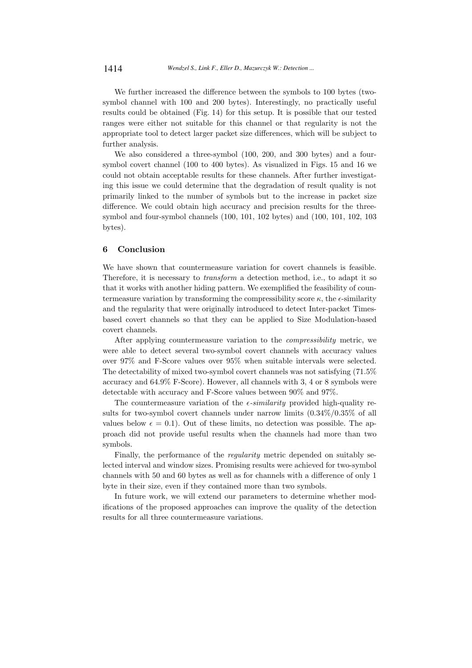We further increased the difference between the symbols to 100 bytes (twosymbol channel with 100 and 200 bytes). Interestingly, no practically useful results could be obtained (Fig. 14) for this setup. It is possible that our tested ranges were either not suitable for this channel or that regularity is not the appropriate tool to detect larger packet size differences, which will be subject to further analysis.

We also considered a three-symbol (100, 200, and 300 bytes) and a foursymbol covert channel (100 to 400 bytes). As visualized in Figs. 15 and 16 we could not obtain acceptable results for these channels. After further investigating this issue we could determine that the degradation of result quality is not primarily linked to the number of symbols but to the increase in packet size difference. We could obtain high accuracy and precision results for the threesymbol and four-symbol channels (100, 101, 102 bytes) and (100, 101, 102, 103 bytes).

### 6 Conclusion

We have shown that countermeasure variation for covert channels is feasible. Therefore, it is necessary to *transform* a detection method, i.e., to adapt it so that it works with another hiding pattern. We exemplified the feasibility of countermeasure variation by transforming the compressibility score  $\kappa$ , the  $\epsilon$ -similarity and the regularity that were originally introduced to detect Inter-packet Timesbased covert channels so that they can be applied to Size Modulation-based covert channels.

After applying countermeasure variation to the compressibility metric, we were able to detect several two-symbol covert channels with accuracy values over 97% and F-Score values over 95% when suitable intervals were selected. The detectability of mixed two-symbol covert channels was not satisfying (71.5% accuracy and 64.9% F-Score). However, all channels with 3, 4 or 8 symbols were detectable with accuracy and F-Score values between 90% and 97%.

The countermeasure variation of the  $\epsilon$ -similarity provided high-quality results for two-symbol covert channels under narrow limits (0.34%/0.35% of all values below  $\epsilon = 0.1$ ). Out of these limits, no detection was possible. The approach did not provide useful results when the channels had more than two symbols.

Finally, the performance of the regularity metric depended on suitably selected interval and window sizes. Promising results were achieved for two-symbol channels with 50 and 60 bytes as well as for channels with a difference of only 1 byte in their size, even if they contained more than two symbols.

In future work, we will extend our parameters to determine whether modifications of the proposed approaches can improve the quality of the detection results for all three countermeasure variations.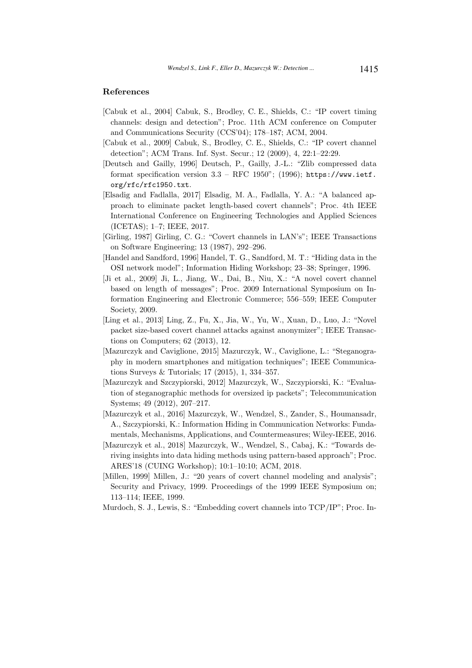#### References

- [Cabuk et al., 2004] Cabuk, S., Brodley, C. E., Shields, C.: "IP covert timing channels: design and detection"; Proc. 11th ACM conference on Computer and Communications Security (CCS'04); 178–187; ACM, 2004.
- [Cabuk et al., 2009] Cabuk, S., Brodley, C. E., Shields, C.: "IP covert channel detection"; ACM Trans. Inf. Syst. Secur.; 12 (2009), 4, 22:1–22:29.
- [Deutsch and Gailly, 1996] Deutsch, P., Gailly, J.-L.: "Zlib compressed data format specification version  $3.3$  – RFC 1950"; (1996); https://www.ietf. org/rfc/rfc1950.txt.
- [Elsadig and Fadlalla, 2017] Elsadig, M. A., Fadlalla, Y. A.: "A balanced approach to eliminate packet length-based covert channels"; Proc. 4th IEEE International Conference on Engineering Technologies and Applied Sciences (ICETAS); 1–7; IEEE, 2017.
- [Girling, 1987] Girling, C. G.: "Covert channels in LAN's"; IEEE Transactions on Software Engineering; 13 (1987), 292–296.
- [Handel and Sandford, 1996] Handel, T. G., Sandford, M. T.: "Hiding data in the OSI network model"; Information Hiding Workshop; 23–38; Springer, 1996.
- [Ji et al., 2009] Ji, L., Jiang, W., Dai, B., Niu, X.: "A novel covert channel based on length of messages"; Proc. 2009 International Symposium on Information Engineering and Electronic Commerce; 556–559; IEEE Computer Society, 2009.
- [Ling et al., 2013] Ling, Z., Fu, X., Jia, W., Yu, W., Xuan, D., Luo, J.: "Novel packet size-based covert channel attacks against anonymizer"; IEEE Transactions on Computers; 62 (2013), 12.
- [Mazurczyk and Caviglione, 2015] Mazurczyk, W., Caviglione, L.: "Steganography in modern smartphones and mitigation techniques"; IEEE Communications Surveys & Tutorials; 17 (2015), 1, 334–357.
- [Mazurczyk and Szczypiorski, 2012] Mazurczyk, W., Szczypiorski, K.: "Evaluation of steganographic methods for oversized ip packets"; Telecommunication Systems; 49 (2012), 207–217.
- [Mazurczyk et al., 2016] Mazurczyk, W., Wendzel, S., Zander, S., Houmansadr, A., Szczypiorski, K.: Information Hiding in Communication Networks: Fundamentals, Mechanisms, Applications, and Countermeasures; Wiley-IEEE, 2016.
- [Mazurczyk et al., 2018] Mazurczyk, W., Wendzel, S., Cabaj, K.: "Towards deriving insights into data hiding methods using pattern-based approach"; Proc. ARES'18 (CUING Workshop); 10:1–10:10; ACM, 2018.
- [Millen, 1999] Millen, J.: "20 years of covert channel modeling and analysis"; Security and Privacy, 1999. Proceedings of the 1999 IEEE Symposium on; 113–114; IEEE, 1999.
- Murdoch, S. J., Lewis, S.: "Embedding covert channels into TCP/IP"; Proc. In-